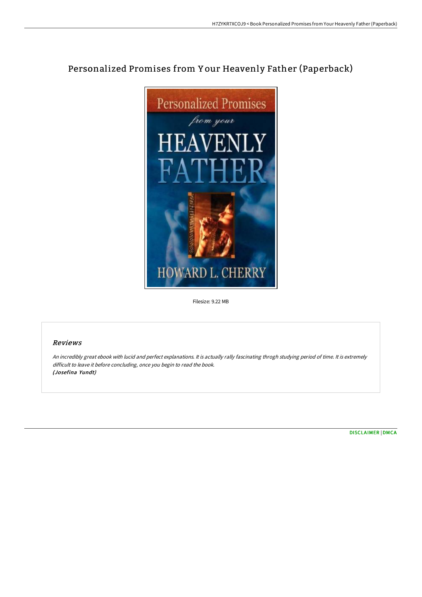## Personalized Promises from Y our Heavenly Father (Paperback)



Filesize: 9.22 MB

## Reviews

An incredibly great ebook with lucid and perfect explanations. It is actually rally fascinating throgh studying period of time. It is extremely difficult to leave it before concluding, once you begin to read the book. (Josefina Yundt)

[DISCLAIMER](http://albedo.media/disclaimer.html) | [DMCA](http://albedo.media/dmca.html)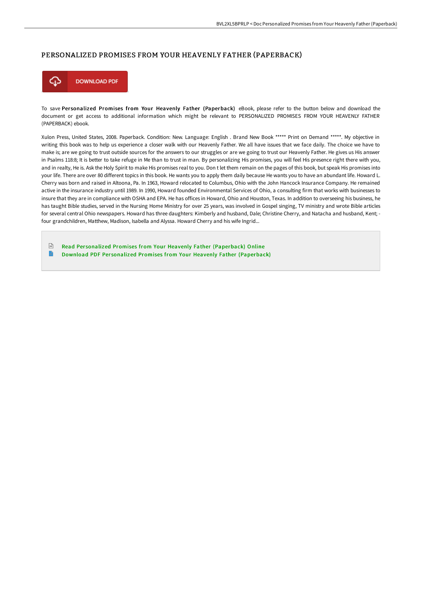## PERSONALIZED PROMISES FROM YOUR HEAVENLY FATHER (PAPERBACK)



To save Personalized Promises from Your Heavenly Father (Paperback) eBook, please refer to the button below and download the document or get access to additional information which might be relevant to PERSONALIZED PROMISES FROM YOUR HEAVENLY FATHER (PAPERBACK) ebook.

Xulon Press, United States, 2008. Paperback. Condition: New. Language: English . Brand New Book \*\*\*\*\* Print on Demand \*\*\*\*\*. My objective in writing this book was to help us experience a closer walk with our Heavenly Father. We all have issues that we face daily. The choice we have to make is; are we going to trust outside sources for the answers to our struggles or are we going to trust our Heavenly Father. He gives us His answer in Psalms 118:8; It is better to take refuge in Me than to trust in man. By personalizing His promises, you will feel His presence right there with you, and in realty, He is. Ask the Holy Spirit to make His promises real to you. Don t let them remain on the pages of this book, but speak His promises into your life. There are over 80 different topics in this book. He wants you to apply them daily because He wants you to have an abundant life. Howard L. Cherry was born and raised in Altoona, Pa. In 1963, Howard relocated to Columbus, Ohio with the John Hancock Insurance Company. He remained active in the insurance industry until 1989. In 1990, Howard founded Environmental Services of Ohio, a consulting firm that works with businesses to insure that they are in compliance with OSHA and EPA. He has offices in Howard, Ohio and Houston, Texas. In addition to overseeing his business, he has taught Bible studies, served in the Nursing Home Ministry for over 25 years, was involved in Gospel singing, TV ministry and wrote Bible articles for several central Ohio newspapers. Howard has three daughters: Kimberly and husband, Dale; Christine Cherry, and Natacha and husband, Kent; four grandchildren, Matthew, Madison, Isabella and Alyssa. Howard Cherry and his wife Ingrid...

 $\mathbb{R}$ Read Personalized Promises from Your Heavenly Father [\(Paperback\)](http://albedo.media/personalized-promises-from-your-heavenly-father-.html) Online E Download PDF Personalized Promises from Your Heavenly Father [\(Paperback\)](http://albedo.media/personalized-promises-from-your-heavenly-father-.html)